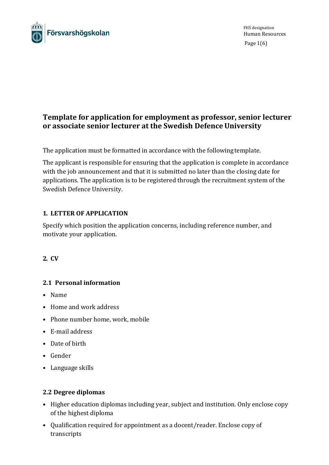

FHS designation Human Resources Page 1(6)

# **Template for application for employment as professor, senior lecturer or associate senior lecturer at the Swedish Defence University**

The application must be formatted in accordance with the followingtemplate.

The applicant is responsible for ensuring that the application is complete in accordance with the job announcement and that it is submitted no later than the closing date for applications. The application is to be registered through the recruitment system of the Swedish Defence University.

# **1. LETTER OF APPLICATION**

Specify which position the application concerns, including reference number, and motivate your application.

# **2. CV**

# **2.1 Personal information**

- Name
- Home and work address
- Phone number home, work, mobile
- E-mail address
- Date of birth
- Gender
- Language skills

# **2.2 Degree diplomas**

- Higher education diplomas including year, subject and institution. Only enclose copy of the highest diploma
- Qualification required for appointment as a docent/reader. Enclose copy of transcripts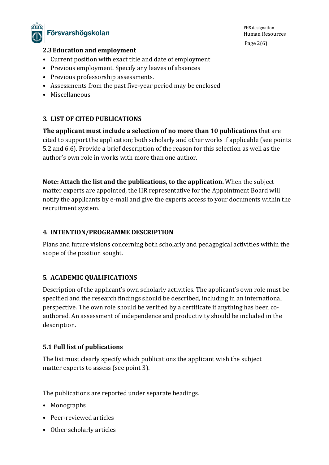

FHS designation Human Resources Page 2(6)

### **2.3Education and employment**

- Current position with exact title and date of employment
- Previous employment. Specify any leaves of absences
- Previous professorship assessments.
- Assessments from the past five-year period may be enclosed
- Miscellaneous

### **3. LIST OF CITED PUBLICATIONS**

**The applicant must include a selection of no more than 10 publications** that are cited to support the application; both scholarly and other works if applicable (see points 5.2 and 6.6). Provide a brief description of the reason for this selection as well as the author's own role in works with more than one author.

**Note: Attach the list and the publications, to the application.** When the subject matter experts are appointed, the HR representative for the Appointment Board will notify the applicants by e-mail and give the experts access to your documents within the recruitment system.

### **4. INTENTION/PROGRAMME DESCRIPTION**

Plans and future visions concerning both scholarly and pedagogical activities within the scope of the position sought.

# **5. ACADEMIC QUALIFICATIONS**

Description of the applicant's own scholarly activities. The applicant's own role must be specified and the research findings should be described, including in an international perspective. The own role should be verified by a certificate if anything has been coauthored. An assessment of independence and productivity should be included in the description.

# **5.1 Full list of publications**

The list must clearly specify which publications the applicant wish the subject matter experts to assess (see point 3).

The publications are reported under separate headings.

- Monographs
- Peer-reviewed articles
- Other scholarly articles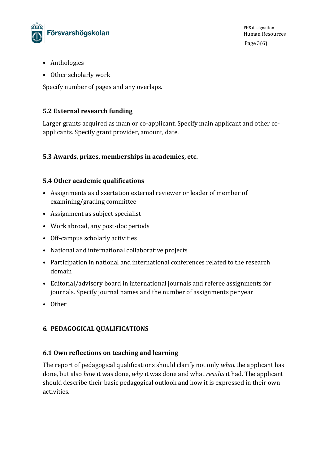

FHS designation Human Resources Page 3(6)

- Anthologies
- Other scholarly work

Specify number of pages and any overlaps.

### **5.2 External research funding**

Larger grants acquired as main or co-applicant. Specify main applicant and other coapplicants. Specify grant provider, amount, date.

### **5.3 Awards, prizes, memberships in academies, etc.**

#### **5.4 Other academic qualifications**

- Assignments as dissertation external reviewer or leader of member of examining/grading committee
- Assignment as subject specialist
- Work abroad, any post-doc periods
- Off-campus scholarly activities
- National and international collaborative projects
- Participation in national and international conferences related to the research domain
- Editorial/advisory board in international journals and referee assignments for journals. Specify journal names and the number of assignments per year
- Other

# **6. PEDAGOGICAL QUALIFICATIONS**

#### **6.1 Own reflections on teaching and learning**

The report of pedagogical qualifications should clarify not only *what* the applicant has done, but also *how* it was done, *why* it was done and what *results* it had. The applicant should describe their basic pedagogical outlook and how it is expressed in their own activities.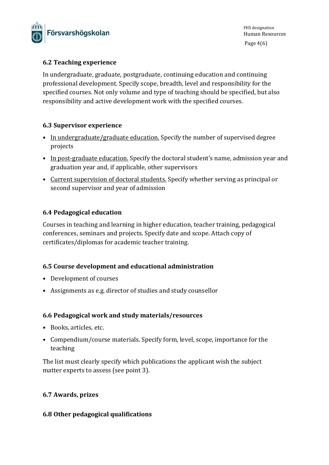

### **6.2 Teaching experience**

In undergraduate, graduate, postgraduate, continuing education and continuing professional development. Specify scope, breadth, level and responsibility for the specified courses. Not only volume and type of teaching should be specified, but also responsibility and active development work with the specified courses.

#### **6.3 Supervisor experience**

- In undergraduate/graduate education. Specify the number of supervised degree projects
- In post-graduate education. Specify the doctoral student's name, admission year and graduation year and, if applicable, other supervisors
- Current supervision of doctoral students. Specify whether serving as principal or second supervisor and year of admission

### **6.4 Pedagogical education**

Courses in teaching and learning in higher education, teacher training, pedagogical conferences, seminars and projects. Specify date and scope. Attach copy of certificates/diplomas for academic teacher training.

#### **6.5 Course development and educational administration**

- Development of courses
- Assignments as e.g. director of studies and study counsellor

#### **6.6 Pedagogical work and study materials/resources**

- Books, articles, etc.
- Compendium/course materials. Specify form, level, scope, importance for the teaching

The list must clearly specify which publications the applicant wish the subject matter experts to assess (see point 3).

#### **6.7 Awards, prizes**

#### **6.8 Other pedagogical qualifications**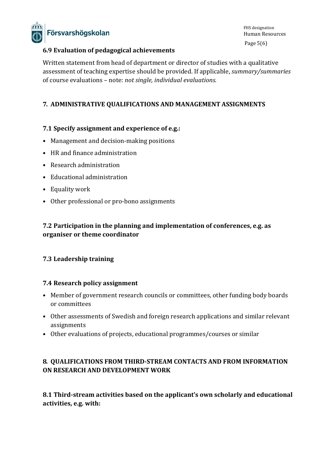

FHS designation Human Resources Page 5(6)

### **6.9 Evaluation of pedagogical achievements**

Written statement from head of department or director of studies with a qualitative assessment of teaching expertise should be provided. If applicable, *summary/summaries*  of course evaluations – note: *not single, individual evaluations.*

# **7. ADMINISTRATIVE QUALIFICATIONS AND MANAGEMENT ASSIGNMENTS**

### **7.1 Specify assignment and experience of e.g.:**

- Management and decision-making positions
- HR and finance administration
- Research administration
- Educational administration
- Equality work
- Other professional or pro-bono assignments

# **7.2 Participation in the planning and implementation of conferences, e.g. as organiser or theme coordinator**

#### **7.3 Leadership training**

#### **7.4 Research policy assignment**

- Member of government research councils or committees, other funding body boards or committees
- Other assessments of Swedish and foreign research applications and similar relevant assignments
- Other evaluations of projects, educational programmes/courses or similar

# **8. QUALIFICATIONS FROM THIRD-STREAM CONTACTS AND FROM INFORMATION ON RESEARCH AND DEVELOPMENT WORK**

**8.1 Third-stream activities based on the applicant's own scholarly and educational activities, e.g. with:**